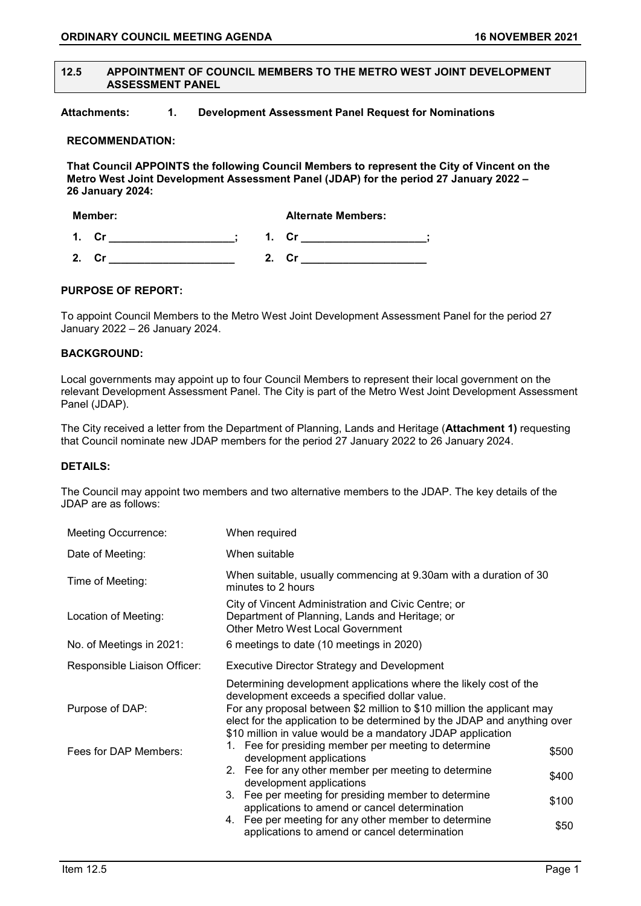#### **12.5 APPOINTMENT OF COUNCIL MEMBERS TO THE METRO WEST JOINT DEVELOPMENT ASSESSMENT PANEL**

**Attachments: 1. Development Assessment Panel Request for Nominations** 

### **RECOMMENDATION:**

**That Council APPOINTS the following Council Members to represent the City of Vincent on the Metro West Joint Development Assessment Panel (JDAP) for the period 27 January 2022 – 26 January 2024:**

| Member: |    | <b>Alternate Members:</b> |    |
|---------|----|---------------------------|----|
| 1       | Cr |                           |    |
| ,       |    | 2                         | Cr |

### **PURPOSE OF REPORT:**

To appoint Council Members to the Metro West Joint Development Assessment Panel for the period 27 January 2022 – 26 January 2024.

#### **BACKGROUND:**

Local governments may appoint up to four Council Members to represent their local government on the relevant Development Assessment Panel. The City is part of the Metro West Joint Development Assessment Panel (JDAP).

The City received a letter from the Department of Planning, Lands and Heritage (**Attachment 1)** requesting that Council nominate new JDAP members for the period 27 January 2022 to 26 January 2024.

# **DETAILS:**

The Council may appoint two members and two alternative members to the JDAP. The key details of the JDAP are as follows:

| <b>Meeting Occurrence:</b>                                                         | When required                                                                                                                                                                                                                                                                                                                           |       |
|------------------------------------------------------------------------------------|-----------------------------------------------------------------------------------------------------------------------------------------------------------------------------------------------------------------------------------------------------------------------------------------------------------------------------------------|-------|
| Date of Meeting:                                                                   | When suitable                                                                                                                                                                                                                                                                                                                           |       |
| Time of Meeting:                                                                   | When suitable, usually commencing at 9.30am with a duration of 30<br>minutes to 2 hours                                                                                                                                                                                                                                                 |       |
| Location of Meeting:                                                               | City of Vincent Administration and Civic Centre; or<br>Department of Planning, Lands and Heritage; or<br>Other Metro West Local Government                                                                                                                                                                                              |       |
| No. of Meetings in 2021:                                                           | 6 meetings to date (10 meetings in 2020)                                                                                                                                                                                                                                                                                                |       |
| Responsible Liaison Officer:<br><b>Executive Director Strategy and Development</b> |                                                                                                                                                                                                                                                                                                                                         |       |
| Purpose of DAP:                                                                    | Determining development applications where the likely cost of the<br>development exceeds a specified dollar value.<br>For any proposal between \$2 million to \$10 million the applicant may<br>elect for the application to be determined by the JDAP and anything over<br>\$10 million in value would be a mandatory JDAP application |       |
| Fees for DAP Members:                                                              | Fee for presiding member per meeting to determine<br>1.<br>development applications                                                                                                                                                                                                                                                     | \$500 |
|                                                                                    | 2. Fee for any other member per meeting to determine<br>development applications                                                                                                                                                                                                                                                        | \$400 |
|                                                                                    | 3. Fee per meeting for presiding member to determine<br>applications to amend or cancel determination                                                                                                                                                                                                                                   | \$100 |
|                                                                                    | 4. Fee per meeting for any other member to determine<br>applications to amend or cancel determination                                                                                                                                                                                                                                   | \$50  |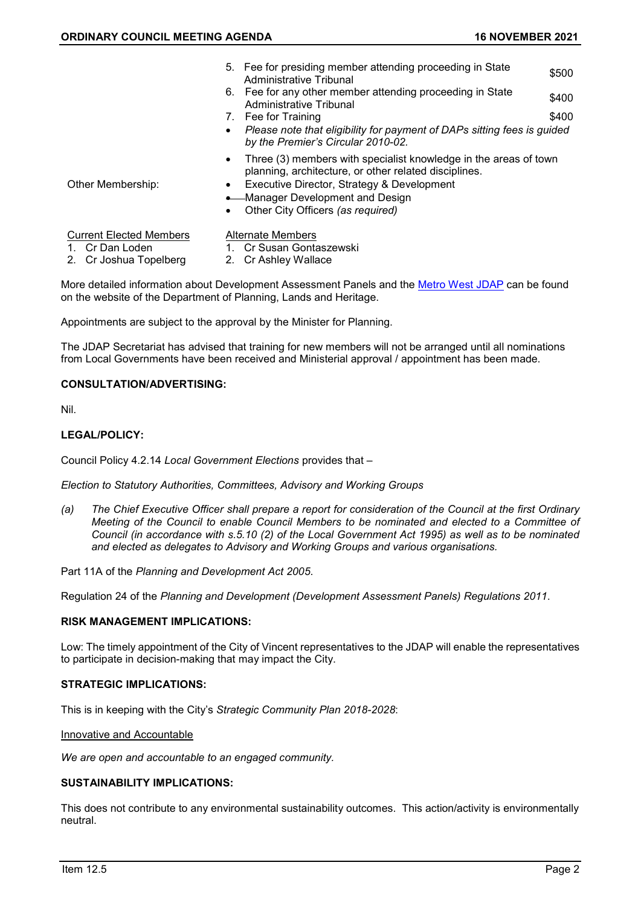|                                                                             | 6.<br>7.<br>$\bullet$               | 5. Fee for presiding member attending proceeding in State<br>Administrative Tribunal<br>Fee for any other member attending proceeding in State<br>Administrative Tribunal<br>Fee for Training<br>Please note that eligibility for payment of DAPs sitting fees is guided<br>by the Premier's Circular 2010-02. | \$500<br>\$400<br>\$400 |
|-----------------------------------------------------------------------------|-------------------------------------|----------------------------------------------------------------------------------------------------------------------------------------------------------------------------------------------------------------------------------------------------------------------------------------------------------------|-------------------------|
| Other Membership:                                                           | $\bullet$<br>$\bullet$<br>$\bullet$ | Three (3) members with specialist knowledge in the areas of town<br>planning, architecture, or other related disciplines.<br>Executive Director, Strategy & Development<br>• Manager Development and Design<br>Other City Officers (as required)                                                               |                         |
| <b>Current Elected Members</b><br>1. Cr Dan Loden<br>2. Cr Joshua Topelberg |                                     | <b>Alternate Members</b><br>1. Cr Susan Gontaszewski<br>2. Cr Ashley Wallace                                                                                                                                                                                                                                   |                         |

More detailed information about Development Assessment Panels and the [Metro West JDAP](https://www.planning.wa.gov.au/Metro-West-JDAP.asp) can be found on the website of the Department of Planning, Lands and Heritage.

Appointments are subject to the approval by the Minister for Planning.

The JDAP Secretariat has advised that training for new members will not be arranged until all nominations from Local Governments have been received and Ministerial approval / appointment has been made.

### **CONSULTATION/ADVERTISING:**

Nil.

### **LEGAL/POLICY:**

Council Policy 4.2.14 *Local Government Elections* provides that –

*Election to Statutory Authorities, Committees, Advisory and Working Groups*

*(a) The Chief Executive Officer shall prepare a report for consideration of the Council at the first Ordinary Meeting of the Council to enable Council Members to be nominated and elected to a Committee of Council (in accordance with s.5.10 (2) of the Local Government Act 1995) as well as to be nominated and elected as delegates to Advisory and Working Groups and various organisations.*

Part 11A of the *Planning and Development Act 2005*.

Regulation 24 of the *Planning and Development (Development Assessment Panels) Regulations 2011*.

### **RISK MANAGEMENT IMPLICATIONS:**

Low: The timely appointment of the City of Vincent representatives to the JDAP will enable the representatives to participate in decision-making that may impact the City.

### **STRATEGIC IMPLICATIONS:**

This is in keeping with the City's *Strategic Community Plan 2018-2028*:

### Innovative and Accountable

*We are open and accountable to an engaged community.*

# **SUSTAINABILITY IMPLICATIONS:**

This does not contribute to any environmental sustainability outcomes. This action/activity is environmentally neutral.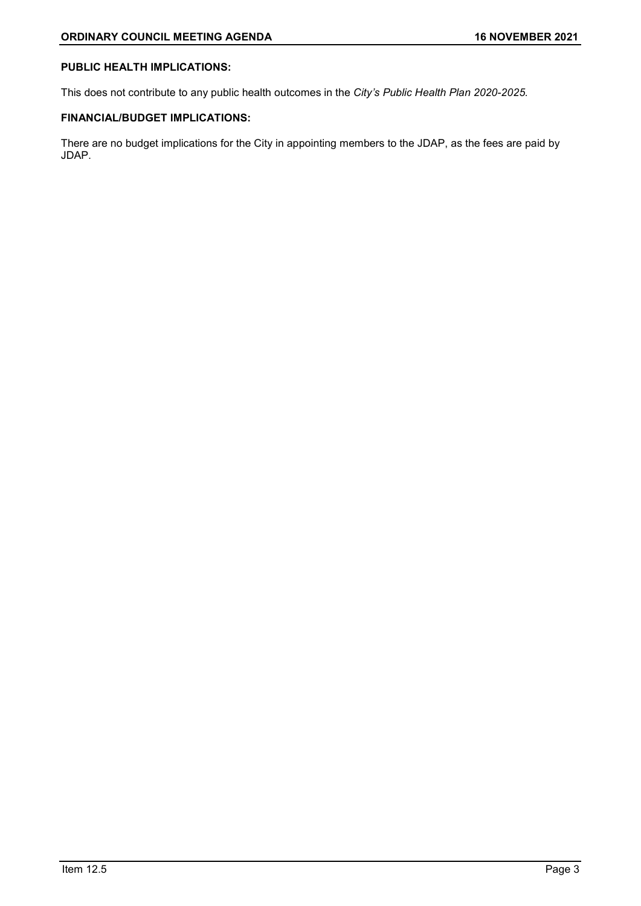# **PUBLIC HEALTH IMPLICATIONS:**

This does not contribute to any public health outcomes in the *City's Public Health Plan 2020-2025.*

# **FINANCIAL/BUDGET IMPLICATIONS:**

There are no budget implications for the City in appointing members to the JDAP, as the fees are paid by JDAP.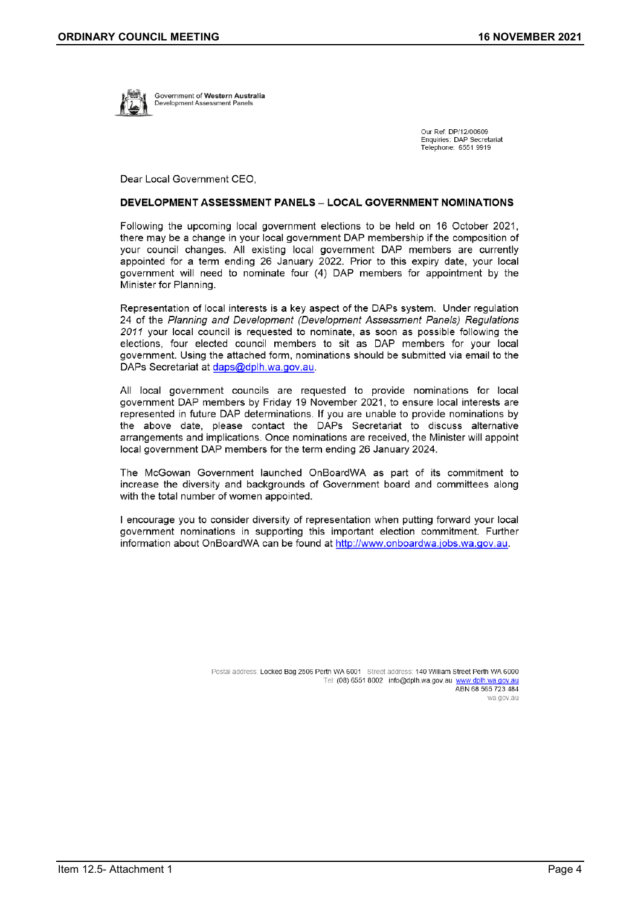

Government of Western Australia evelopment Assessment Panels

> Our Ref: DP/12/00609 Enquiries: DAP Secretariat Telephone: 6551 9919

Dear Local Government CEO.

#### **DEVELOPMENT ASSESSMENT PANELS - LOCAL GOVERNMENT NOMINATIONS**

Following the upcoming local government elections to be held on 16 October 2021, there may be a change in your local government DAP membership if the composition of your council changes. All existing local government DAP members are currently appointed for a term ending 26 January 2022. Prior to this expiry date, your local government will need to nominate four (4) DAP members for appointment by the Minister for Planning.

Representation of local interests is a key aspect of the DAPs system. Under regulation 24 of the Planning and Development (Development Assessment Panels) Regulations 2011 your local council is requested to nominate, as soon as possible following the elections, four elected council members to sit as DAP members for your local government. Using the attached form, nominations should be submitted via email to the DAPs Secretariat at daps@dplh.wa.gov.au.

All local government councils are requested to provide nominations for local government DAP members by Friday 19 November 2021, to ensure local interests are represented in future DAP determinations. If you are unable to provide nominations by the above date, please contact the DAPs Secretariat to discuss alternative arrangements and implications. Once nominations are received, the Minister will appoint local government DAP members for the term ending 26 January 2024.

The McGowan Government launched OnBoardWA as part of its commitment to increase the diversity and backgrounds of Government board and committees along with the total number of women appointed.

I encourage you to consider diversity of representation when putting forward your local government nominations in supporting this important election commitment. Further information about OnBoardWA can be found at http://www.onboardwa.jobs.wa.gov.au.

> Postal address: Locked Bag 2506 Perth WA 6001 Street address: 140 William Street Perth WA 6000 Tel: (08) 6551 8002 info@dplh.wa.gov.au www.dplh.wa.gov.au ABN 68 565 723 484 wa.gov.au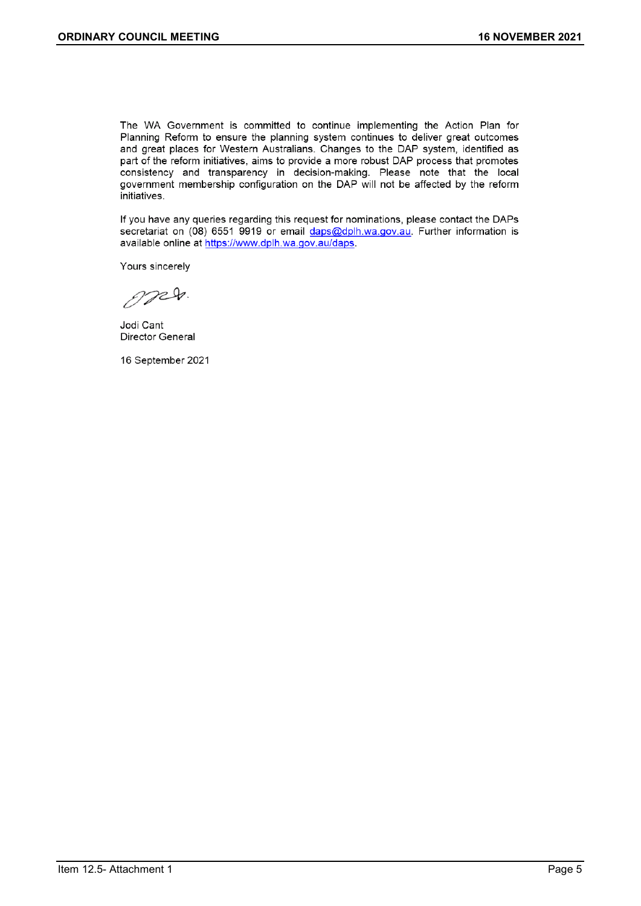The WA Government is committed to continue implementing the Action Plan for Planning Reform to ensure the planning system continues to deliver great outcomes and great places for Western Australians. Changes to the DAP system, identified as part of the reform initiatives, aims to provide a more robust DAP process that promotes consistency and transparency in decision-making. Please note that the local government membership configuration on the DAP will not be affected by the reform initiatives.

If you have any queries regarding this request for nominations, please contact the DAPs secretariat on (08) 6551 9919 or email daps@dplh.wa.gov.au. Further information is available online at https://www.dplh.wa.gov.au/daps.

Yours sincerely

OPED.

Jodi Cant Director General

16 September 2021